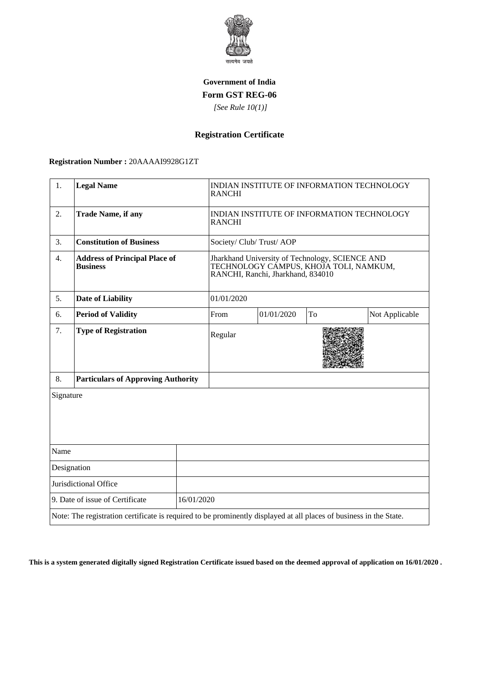

## **Government of India Form GST REG-06**

 *[See Rule 10(1)]*

# **Registration Certificate**

#### **Registration Number :** 20AAAAI9928G1ZT

| 1.                                                                                                                 | <b>Legal Name</b>                                       |  | INDIAN INSTITUTE OF INFORMATION TECHNOLOGY<br><b>RANCHI</b>                                                                    |            |    |                |
|--------------------------------------------------------------------------------------------------------------------|---------------------------------------------------------|--|--------------------------------------------------------------------------------------------------------------------------------|------------|----|----------------|
| $\overline{2}$ .                                                                                                   | <b>Trade Name, if any</b>                               |  | INDIAN INSTITUTE OF INFORMATION TECHNOLOGY<br><b>RANCHI</b>                                                                    |            |    |                |
| 3.                                                                                                                 | <b>Constitution of Business</b>                         |  | Society/Club/Trust/AOP                                                                                                         |            |    |                |
| 4.                                                                                                                 | <b>Address of Principal Place of</b><br><b>Business</b> |  | Jharkhand University of Technology, SCIENCE AND<br>TECHNOLOGY CÁMPUS, KHOJA TOLI, NAMKUM,<br>RANCHI, Ranchi, Jharkhand, 834010 |            |    |                |
| 5.                                                                                                                 | <b>Date of Liability</b>                                |  | 01/01/2020                                                                                                                     |            |    |                |
| 6.                                                                                                                 | <b>Period of Validity</b>                               |  | From                                                                                                                           | 01/01/2020 | To | Not Applicable |
| 7.                                                                                                                 | <b>Type of Registration</b>                             |  | Regular                                                                                                                        |            |    |                |
| 8.                                                                                                                 | <b>Particulars of Approving Authority</b>               |  |                                                                                                                                |            |    |                |
| Signature                                                                                                          |                                                         |  |                                                                                                                                |            |    |                |
| Name                                                                                                               |                                                         |  |                                                                                                                                |            |    |                |
| Designation                                                                                                        |                                                         |  |                                                                                                                                |            |    |                |
| Jurisdictional Office                                                                                              |                                                         |  |                                                                                                                                |            |    |                |
| 9. Date of issue of Certificate<br>16/01/2020                                                                      |                                                         |  |                                                                                                                                |            |    |                |
| Note: The registration certificate is required to be prominently displayed at all places of business in the State. |                                                         |  |                                                                                                                                |            |    |                |

**This is a system generated digitally signed Registration Certificate issued based on the deemed approval of application on 16/01/2020 .**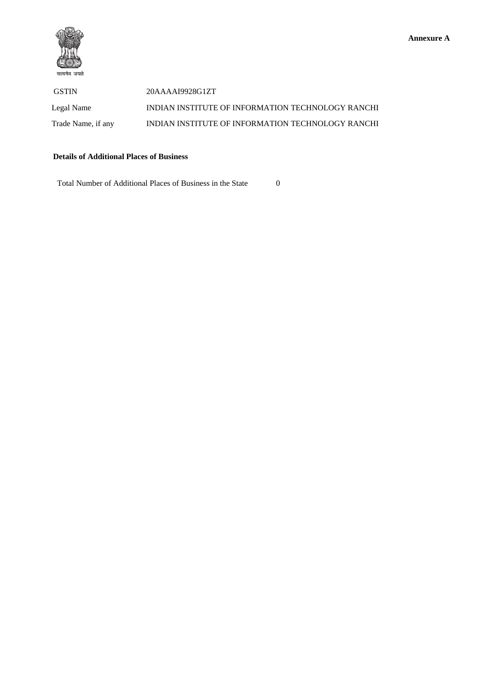

 GSTIN 20AAAAI9928G1ZT Legal Name INDIAN INSTITUTE OF INFORMATION TECHNOLOGY RANCHI Trade Name, if any **INDIAN INSTITUTE OF INFORMATION TECHNOLOGY RANCHI** 

### **Details of Additional Places of Business**

Total Number of Additional Places of Business in the State 0